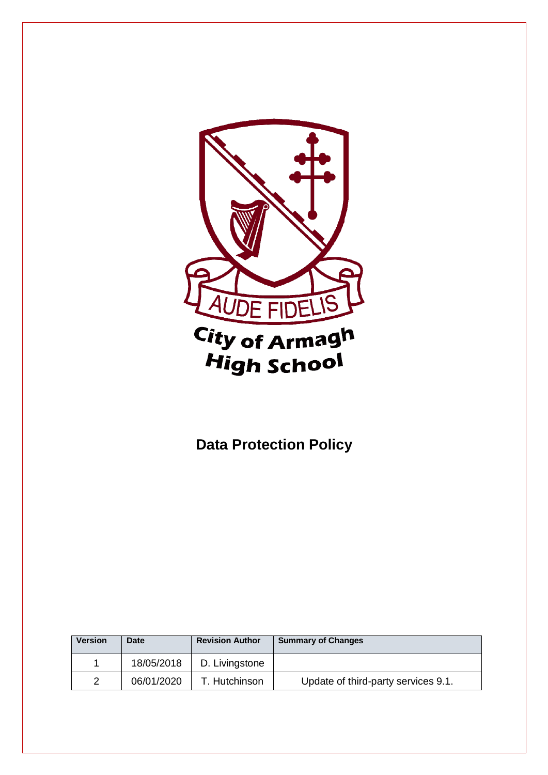

# **Data Protection Policy**

| <b>Version</b> | <b>Date</b> | <b>Revision Author</b> | <b>Summary of Changes</b>           |
|----------------|-------------|------------------------|-------------------------------------|
|                | 18/05/2018  | D. Livingstone         |                                     |
| 2              | 06/01/2020  | T. Hutchinson          | Update of third-party services 9.1. |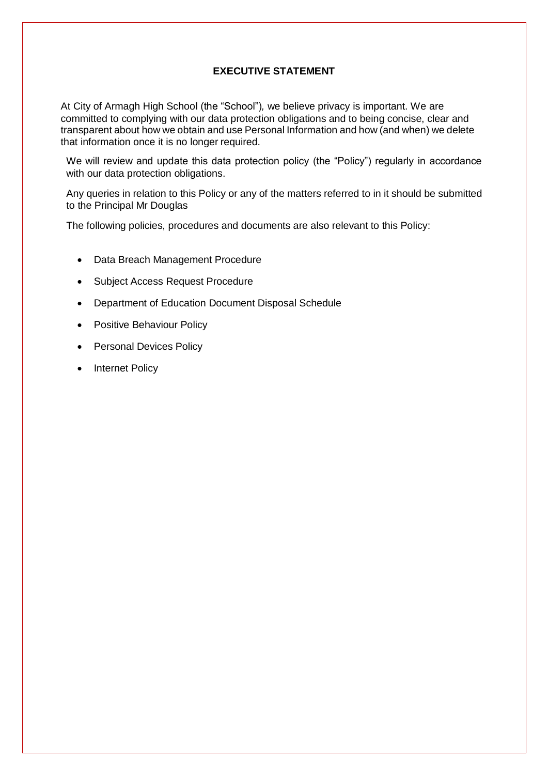# **EXECUTIVE STATEMENT**

At City of Armagh High School (the "School")*,* we believe privacy is important. We are committed to complying with our data protection obligations and to being concise, clear and transparent about how we obtain and use Personal Information and how (and when) we delete that information once it is no longer required.

We will review and update this data protection policy (the "Policy") regularly in accordance with our data protection obligations.

Any queries in relation to this Policy or any of the matters referred to in it should be submitted to the Principal Mr Douglas

The following policies, procedures and documents are also relevant to this Policy:

- Data Breach Management Procedure
- Subject Access Request Procedure
- Department of Education Document Disposal Schedule
- Positive Behaviour Policy
- Personal Devices Policy
- Internet Policy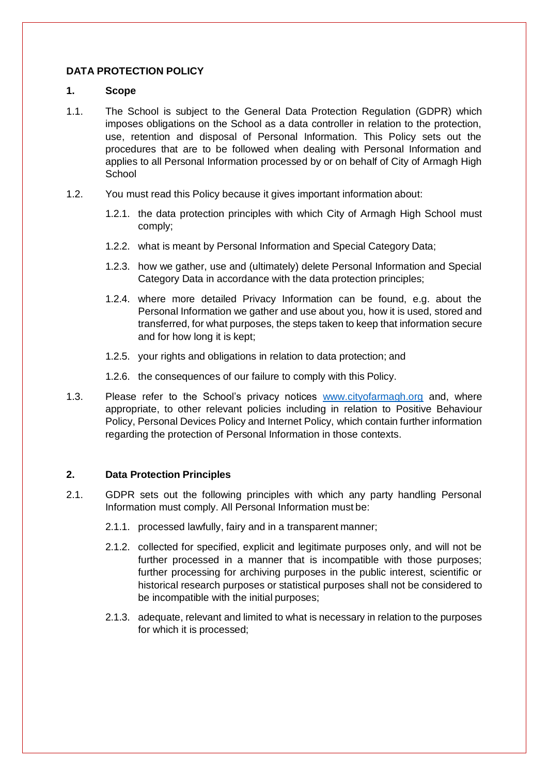# **DATA PROTECTION POLICY**

#### **1. Scope**

- 1.1. The School is subject to the General Data Protection Regulation (GDPR) which imposes obligations on the School as a data controller in relation to the protection, use, retention and disposal of Personal Information. This Policy sets out the procedures that are to be followed when dealing with Personal Information and applies to all Personal Information processed by or on behalf of City of Armagh High **School**
- 1.2. You must read this Policy because it gives important information about:
	- 1.2.1. the data protection principles with which City of Armagh High School must comply;
	- 1.2.2. what is meant by Personal Information and Special Category Data;
	- 1.2.3. how we gather, use and (ultimately) delete Personal Information and Special Category Data in accordance with the data protection principles;
	- 1.2.4. where more detailed Privacy Information can be found, e.g. about the Personal Information we gather and use about you, how it is used, stored and transferred, for what purposes, the steps taken to keep that information secure and for how long it is kept;
	- 1.2.5. your rights and obligations in relation to data protection; and
	- 1.2.6. the consequences of our failure to comply with this Policy.
- 1.3. Please refer to the School's privacy notices [www.cityofarmagh.org](http://www.cityofarmagh.org/) and, where appropriate, to other relevant policies including in relation to Positive Behaviour Policy, Personal Devices Policy and Internet Policy, which contain further information regarding the protection of Personal Information in those contexts.

## **2. Data Protection Principles**

- 2.1. GDPR sets out the following principles with which any party handling Personal Information must comply. All Personal Information must be:
	- 2.1.1. processed lawfully, fairy and in a transparent manner;
	- 2.1.2. collected for specified, explicit and legitimate purposes only, and will not be further processed in a manner that is incompatible with those purposes; further processing for archiving purposes in the public interest, scientific or historical research purposes or statistical purposes shall not be considered to be incompatible with the initial purposes;
	- 2.1.3. adequate, relevant and limited to what is necessary in relation to the purposes for which it is processed;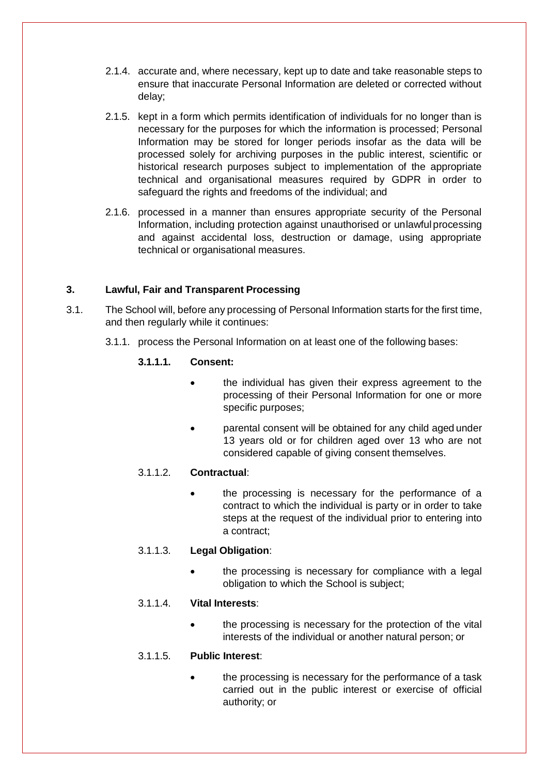- 2.1.4. accurate and, where necessary, kept up to date and take reasonable steps to ensure that inaccurate Personal Information are deleted or corrected without delay;
- 2.1.5. kept in a form which permits identification of individuals for no longer than is necessary for the purposes for which the information is processed; Personal Information may be stored for longer periods insofar as the data will be processed solely for archiving purposes in the public interest, scientific or historical research purposes subject to implementation of the appropriate technical and organisational measures required by GDPR in order to safeguard the rights and freedoms of the individual; and
- 2.1.6. processed in a manner than ensures appropriate security of the Personal Information, including protection against unauthorised or unlawfulprocessing and against accidental loss, destruction or damage, using appropriate technical or organisational measures.

# **3. Lawful, Fair and Transparent Processing**

- 3.1. The School will, before any processing of Personal Information starts for the first time, and then regularly while it continues:
	- 3.1.1. process the Personal Information on at least one of the following bases:

## **3.1.1.1. Consent:**

- the individual has given their express agreement to the processing of their Personal Information for one or more specific purposes;
- parental consent will be obtained for any child aged under 13 years old or for children aged over 13 who are not considered capable of giving consent themselves.

## 3.1.1.2. **Contractual**:

 the processing is necessary for the performance of a contract to which the individual is party or in order to take steps at the request of the individual prior to entering into a contract;

## 3.1.1.3. **Legal Obligation**:

 the processing is necessary for compliance with a legal obligation to which the School is subject;

## 3.1.1.4. **Vital Interests**:

 the processing is necessary for the protection of the vital interests of the individual or another natural person; or

## 3.1.1.5. **Public Interest**:

 the processing is necessary for the performance of a task carried out in the public interest or exercise of official authority; or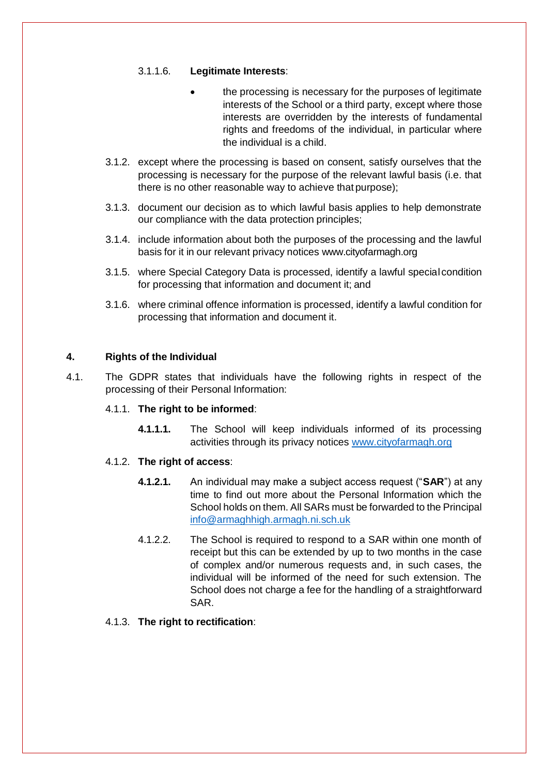## 3.1.1.6. **Legitimate Interests**:

- the processing is necessary for the purposes of legitimate interests of the School or a third party, except where those interests are overridden by the interests of fundamental rights and freedoms of the individual, in particular where the individual is a child.
- 3.1.2. except where the processing is based on consent, satisfy ourselves that the processing is necessary for the purpose of the relevant lawful basis (i.e. that there is no other reasonable way to achieve that purpose);
- 3.1.3. document our decision as to which lawful basis applies to help demonstrate our compliance with the data protection principles;
- 3.1.4. include information about both the purposes of the processing and the lawful basis for it in our relevant privacy notices www.cityofarmagh.org
- 3.1.5. where Special Category Data is processed, identify a lawful special condition for processing that information and document it; and
- 3.1.6. where criminal offence information is processed, identify a lawful condition for processing that information and document it.

## **4. Rights of the Individual**

4.1. The GDPR states that individuals have the following rights in respect of the processing of their Personal Information:

## 4.1.1. **The right to be informed**:

**4.1.1.1.** The School will keep individuals informed of its processing activities through its privacy notices [www.cityofarmagh.org](http://www.cityofarmagh.org/)

## 4.1.2. **The right of access**:

- **4.1.2.1.** An individual may make a subject access request ("**SAR**") at any time to find out more about the Personal Information which the School holds on them. All SARs must be forwarded to the Principal [info@armaghhigh.armagh.ni.sch.uk](mailto:info@armaghhigh.armagh.ni.sch.uk)
- 4.1.2.2. The School is required to respond to a SAR within one month of receipt but this can be extended by up to two months in the case of complex and/or numerous requests and, in such cases, the individual will be informed of the need for such extension. The School does not charge a fee for the handling of a straightforward SAR.

## 4.1.3. **The right to rectification**: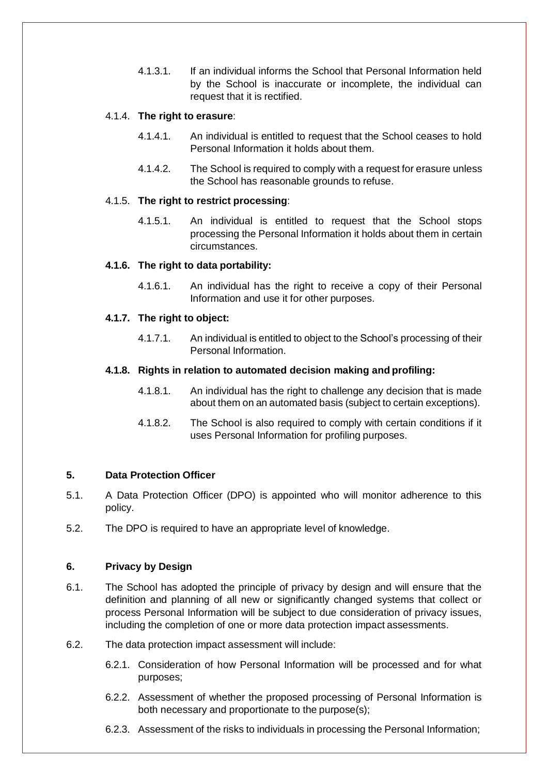4.1.3.1. If an individual informs the School that Personal Information held by the School is inaccurate or incomplete, the individual can request that it is rectified.

## 4.1.4. **The right to erasure**:

- 4.1.4.1. An individual is entitled to request that the School ceases to hold Personal Information it holds about them.
- 4.1.4.2. The School is required to comply with a request for erasure unless the School has reasonable grounds to refuse.

## 4.1.5. **The right to restrict processing**:

4.1.5.1. An individual is entitled to request that the School stops processing the Personal Information it holds about them in certain circumstances.

## **4.1.6. The right to data portability:**

4.1.6.1. An individual has the right to receive a copy of their Personal Information and use it for other purposes.

## **4.1.7. The right to object:**

4.1.7.1. An individual is entitled to object to the School's processing of their Personal Information.

## **4.1.8. Rights in relation to automated decision making and profiling:**

- 4.1.8.1. An individual has the right to challenge any decision that is made about them on an automated basis (subject to certain exceptions).
- 4.1.8.2. The School is also required to comply with certain conditions if it uses Personal Information for profiling purposes.

# **5. Data Protection Officer**

- 5.1. A Data Protection Officer (DPO) is appointed who will monitor adherence to this policy.
- 5.2. The DPO is required to have an appropriate level of knowledge.

# **6. Privacy by Design**

- 6.1. The School has adopted the principle of privacy by design and will ensure that the definition and planning of all new or significantly changed systems that collect or process Personal Information will be subject to due consideration of privacy issues, including the completion of one or more data protection impact assessments.
- 6.2. The data protection impact assessment will include:
	- 6.2.1. Consideration of how Personal Information will be processed and for what purposes;
	- 6.2.2. Assessment of whether the proposed processing of Personal Information is both necessary and proportionate to the purpose(s);
	- 6.2.3. Assessment of the risks to individuals in processing the Personal Information;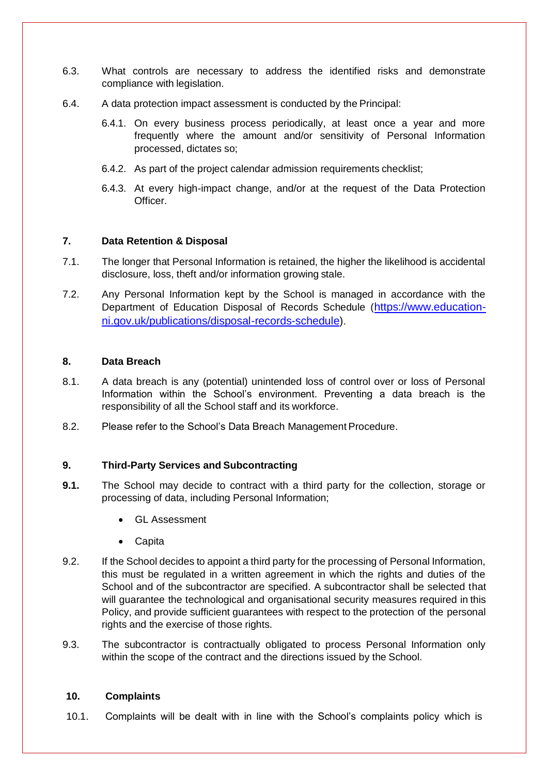- 6.3. What controls are necessary to address the identified risks and demonstrate compliance with legislation.
- 6.4. A data protection impact assessment is conducted by the Principal:
	- 6.4.1. On every business process periodically, at least once a year and more frequently where the amount and/or sensitivity of Personal Information processed, dictates so;
	- 6.4.2. As part of the project calendar admission requirements checklist;
	- 6.4.3. At every high-impact change, and/or at the request of the Data Protection Officer.

## **7. Data Retention & Disposal**

- 7.1. The longer that Personal Information is retained, the higher the likelihood is accidental disclosure, loss, theft and/or information growing stale.
- 7.2. Any Personal Information kept by the School is managed in accordance with the Department of Education Disposal of Records Schedule ([https://www.education](https://www.education-ni.gov.uk/publications/disposal-records-schedule)[ni.gov.uk/publications/disposal-records-schedule\)](https://www.education-ni.gov.uk/publications/disposal-records-schedule).

## **8. Data Breach**

- 8.1. A data breach is any (potential) unintended loss of control over or loss of Personal Information within the School's environment. Preventing a data breach is the responsibility of all the School staff and its workforce.
- 8.2. Please refer to the School's Data Breach Management Procedure.

## **9. Third-Party Services and Subcontracting**

- **9.1.** The School may decide to contract with a third party for the collection, storage or processing of data, including Personal Information;
	- GL Assessment
	- **Capita**
- 9.2. If the School decides to appoint a third party for the processing of Personal Information, this must be regulated in a written agreement in which the rights and duties of the School and of the subcontractor are specified. A subcontractor shall be selected that will guarantee the technological and organisational security measures required in this Policy, and provide sufficient guarantees with respect to the protection of the personal rights and the exercise of those rights.
- 9.3. The subcontractor is contractually obligated to process Personal Information only within the scope of the contract and the directions issued by the School.

#### **10. Complaints**

10.1. Complaints will be dealt with in line with the School's complaints policy which is